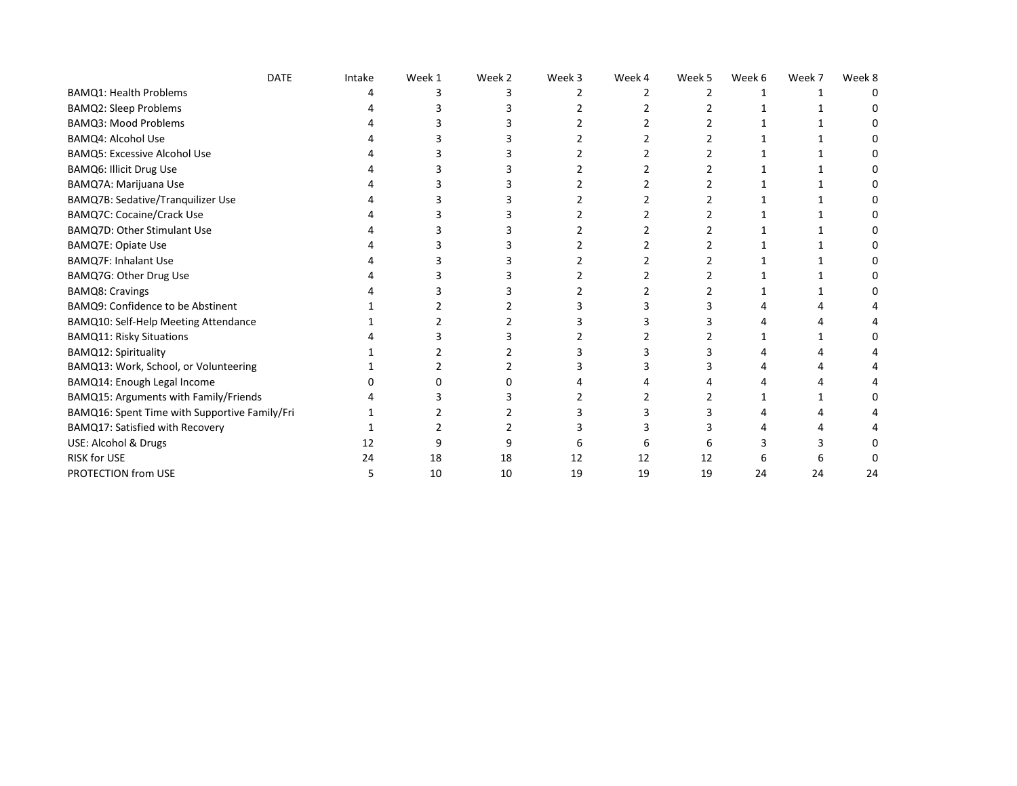| <b>DATE</b>                                   | Intake | Week 1 | Week 2 | Week 3 | Week 4 | Week 5 | Week 6 | Week 7 | Week 8 |
|-----------------------------------------------|--------|--------|--------|--------|--------|--------|--------|--------|--------|
| <b>BAMQ1: Health Problems</b>                 |        |        |        |        |        |        |        |        |        |
| <b>BAMQ2: Sleep Problems</b>                  |        |        |        |        |        |        |        |        |        |
| BAMQ3: Mood Problems                          |        |        |        |        |        |        |        |        |        |
| <b>BAMQ4: Alcohol Use</b>                     |        |        |        |        |        |        |        |        |        |
| <b>BAMQ5: Excessive Alcohol Use</b>           |        |        |        |        |        |        |        |        |        |
| BAMQ6: Illicit Drug Use                       |        |        |        |        |        |        |        |        |        |
| BAMQ7A: Marijuana Use                         |        |        |        |        |        |        |        |        |        |
| BAMQ7B: Sedative/Tranquilizer Use             |        |        |        |        |        |        |        |        |        |
| BAMQ7C: Cocaine/Crack Use                     |        |        |        |        |        |        |        |        |        |
| BAMQ7D: Other Stimulant Use                   |        |        |        |        |        |        |        |        |        |
| BAMQ7E: Opiate Use                            |        |        |        |        |        |        |        |        |        |
| BAMQ7F: Inhalant Use                          |        |        |        |        |        |        |        |        |        |
| BAMQ7G: Other Drug Use                        |        |        |        |        |        |        |        |        |        |
| <b>BAMQ8: Cravings</b>                        |        |        |        |        |        |        |        |        |        |
| BAMQ9: Confidence to be Abstinent             |        |        |        |        |        |        |        |        |        |
| BAMQ10: Self-Help Meeting Attendance          |        |        |        |        |        |        |        |        |        |
| <b>BAMQ11: Risky Situations</b>               |        |        |        |        |        |        |        |        |        |
| BAMQ12: Spirituality                          |        |        |        |        |        |        |        |        |        |
| BAMQ13: Work, School, or Volunteering         |        |        |        |        |        |        |        |        |        |
| BAMQ14: Enough Legal Income                   |        |        |        |        |        |        |        |        |        |
| BAMQ15: Arguments with Family/Friends         |        |        |        |        |        |        |        |        |        |
| BAMQ16: Spent Time with Supportive Family/Fri |        |        |        |        |        |        |        |        |        |
| BAMQ17: Satisfied with Recovery               |        |        |        |        |        |        |        |        |        |
| USE: Alcohol & Drugs                          | 12     |        |        |        |        |        |        |        |        |
| RISK for USE                                  | 24     | 18     | 18     | 12     | 12     | 12     |        |        |        |
| PROTECTION from USE                           |        | 10     | 10     | 19     | 19     | 19     | 24     | 24     | 24     |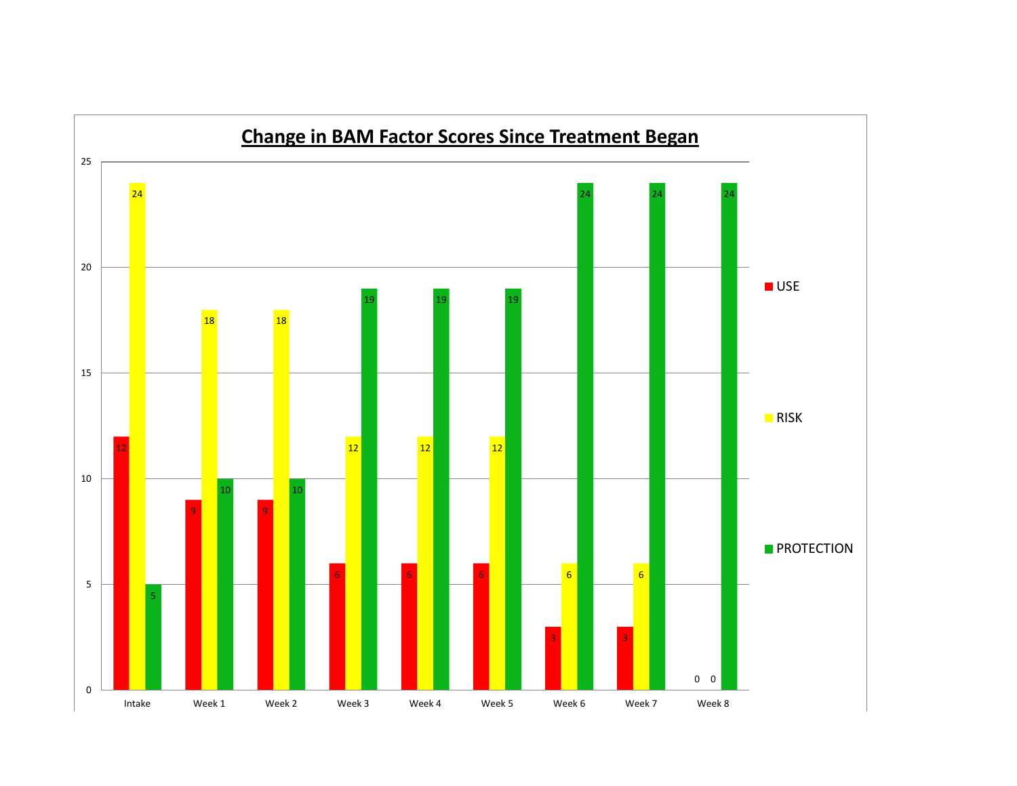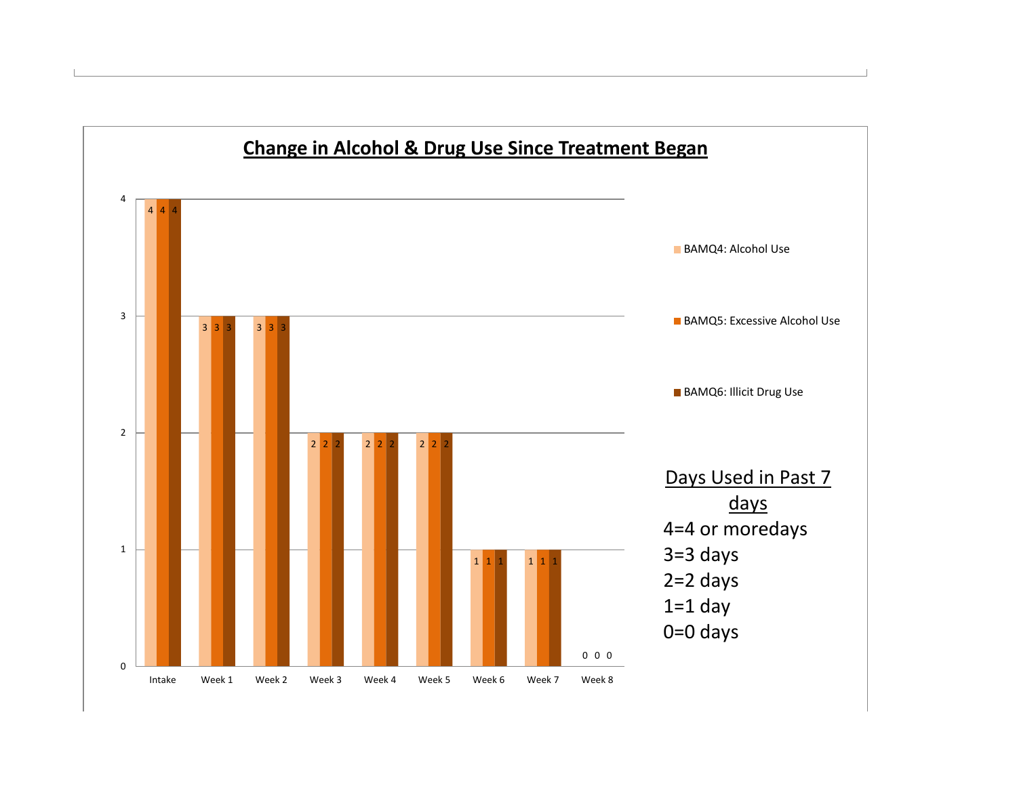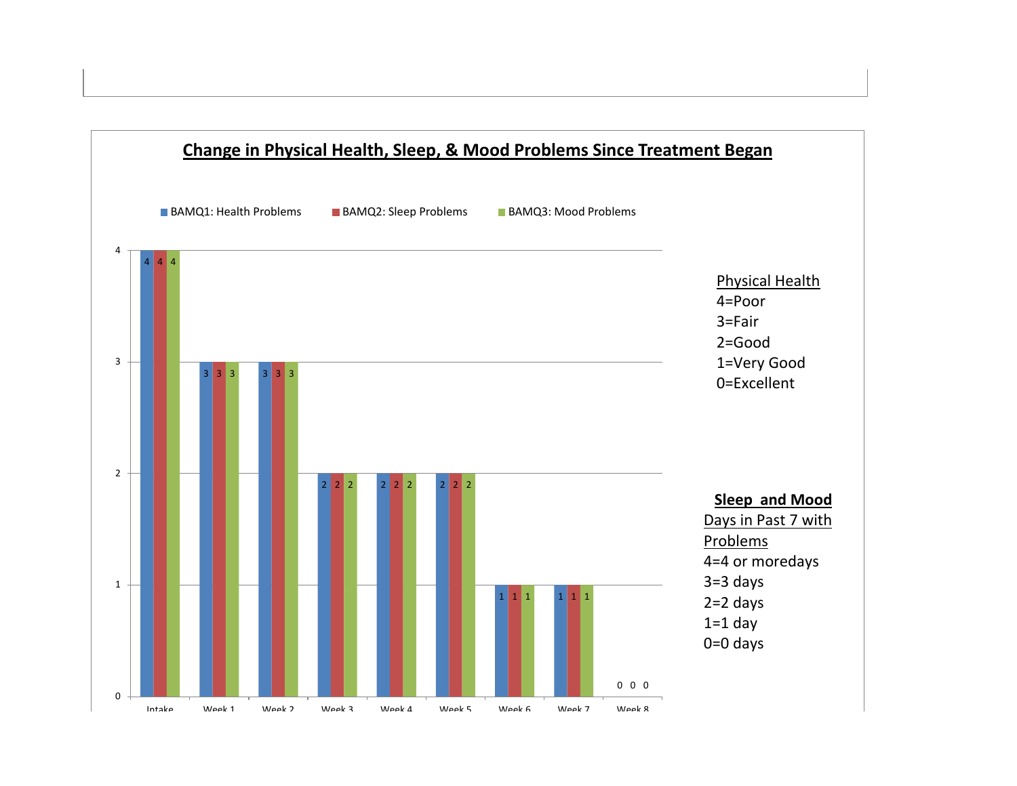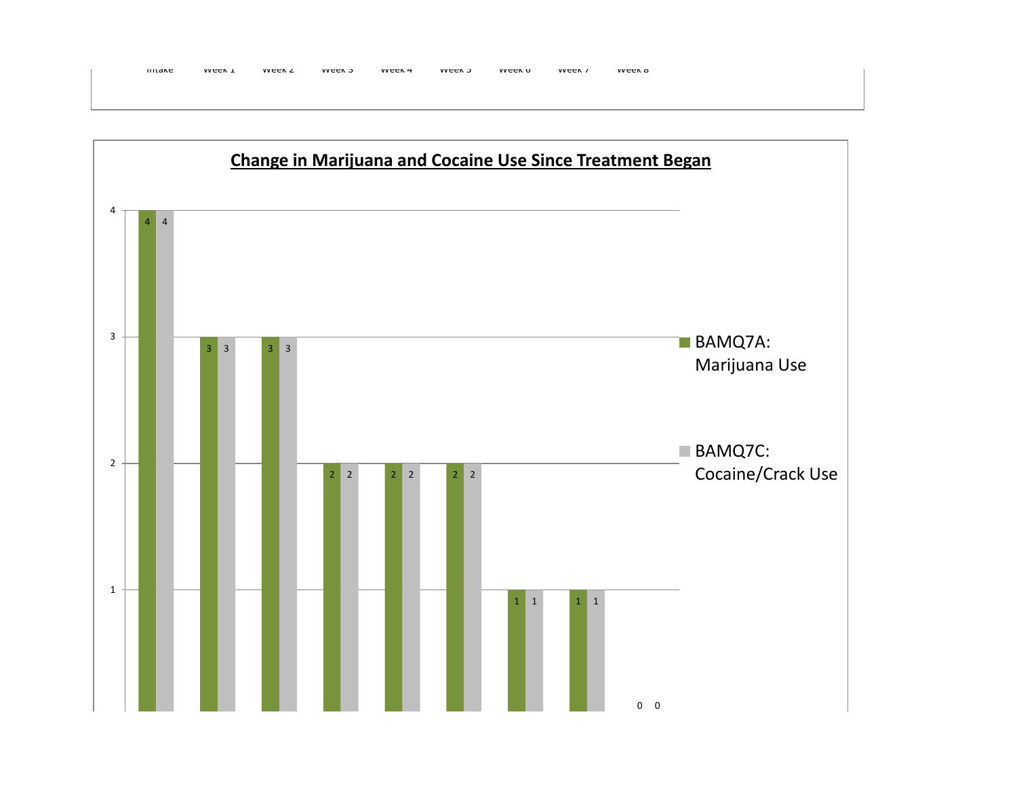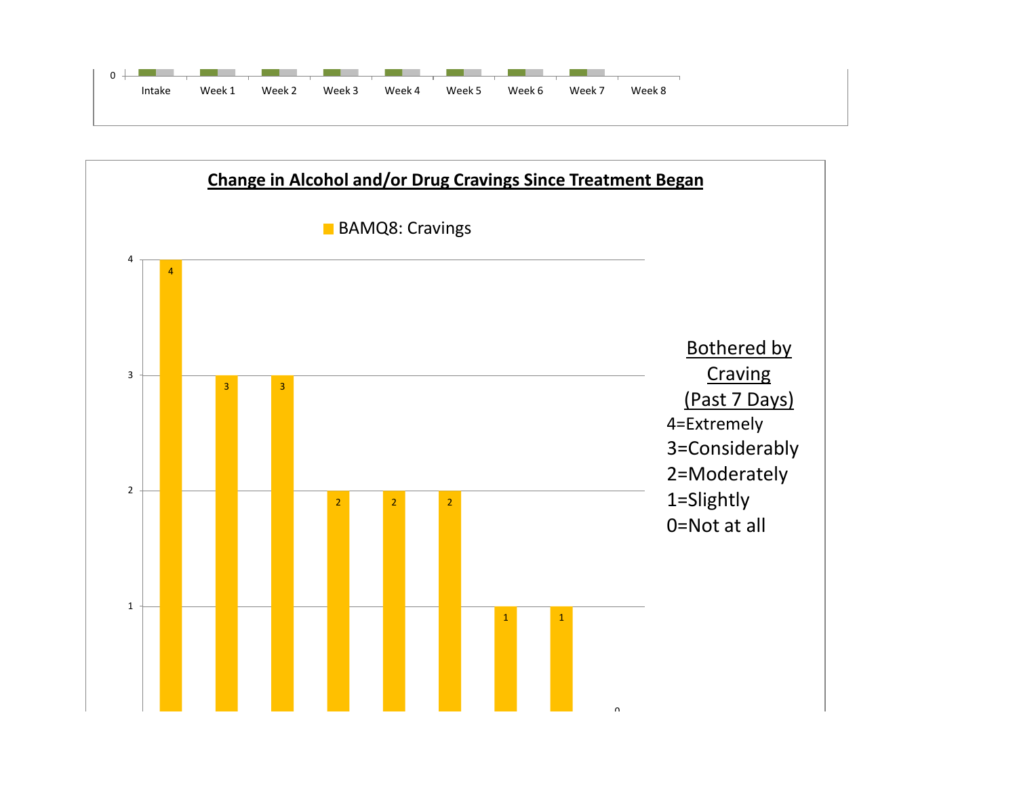

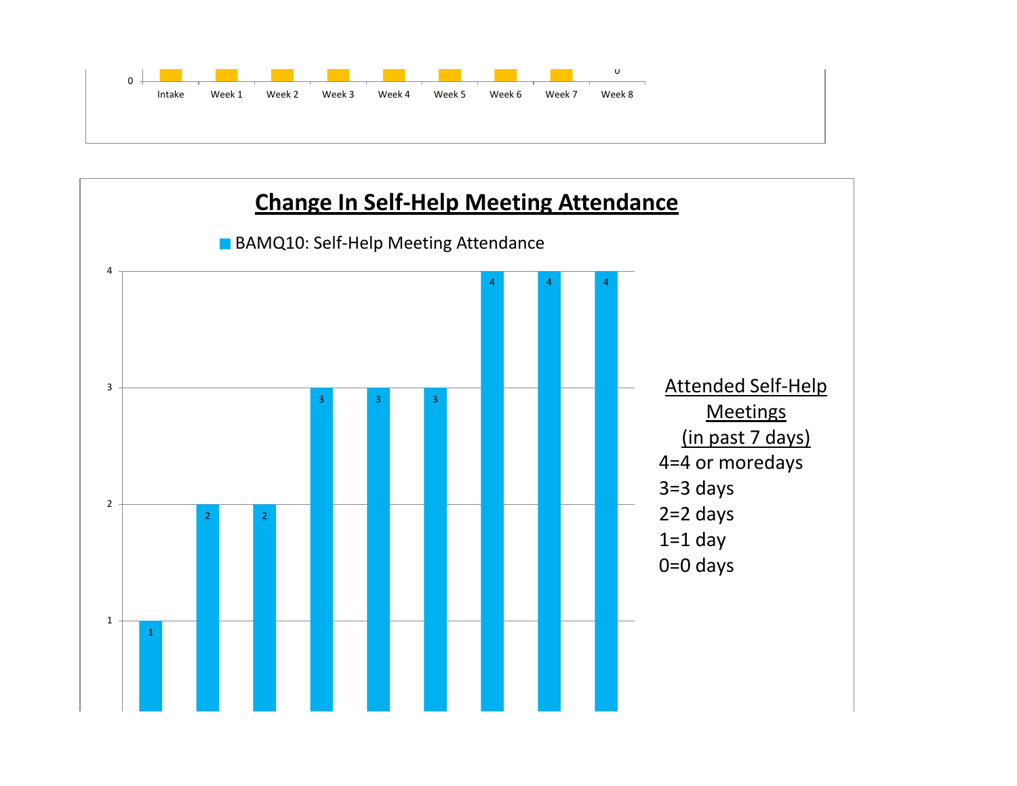

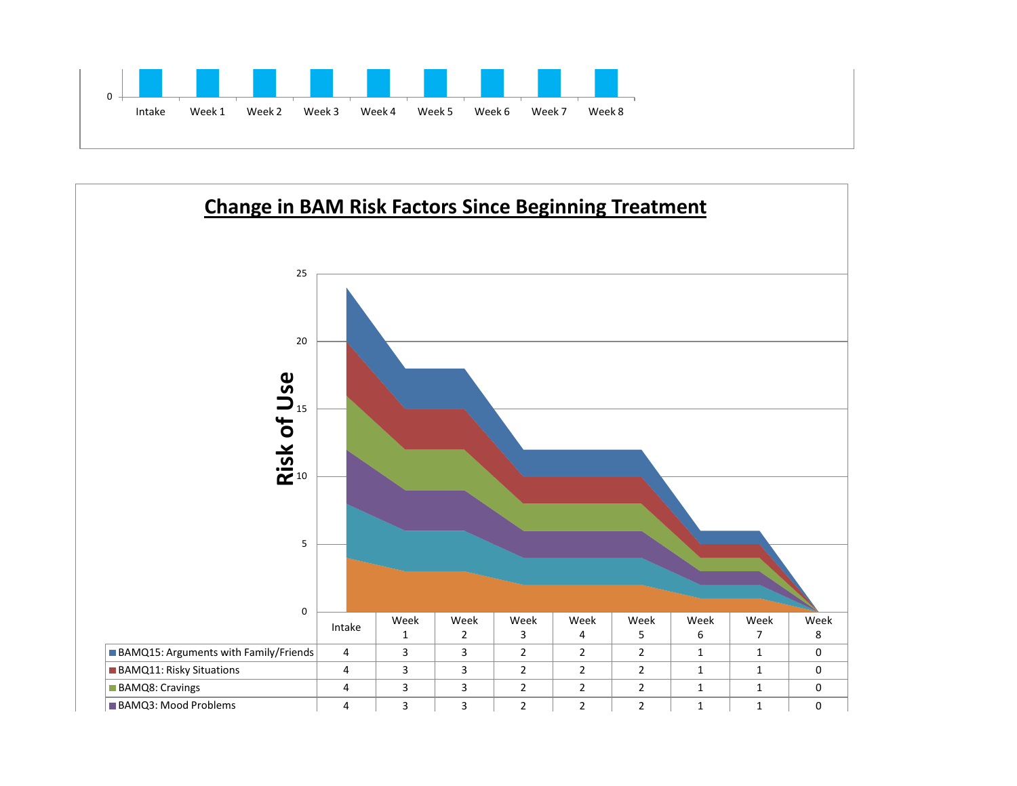

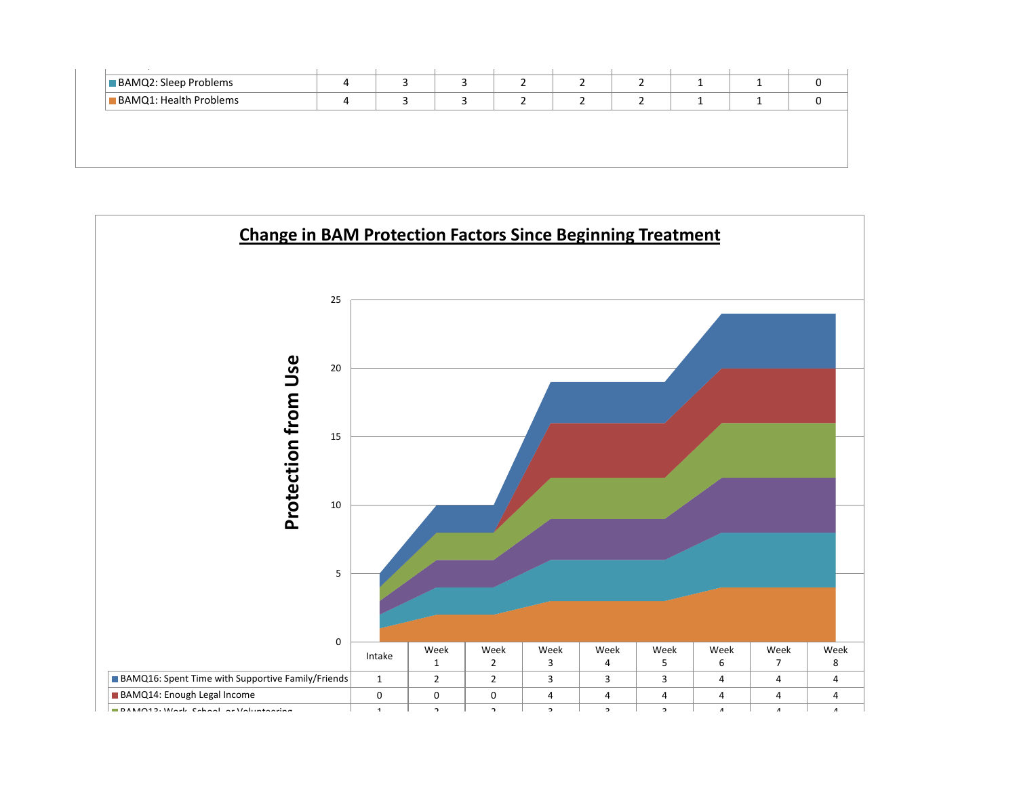| <b>BAMQ1: Health Problems</b> |
|-------------------------------|

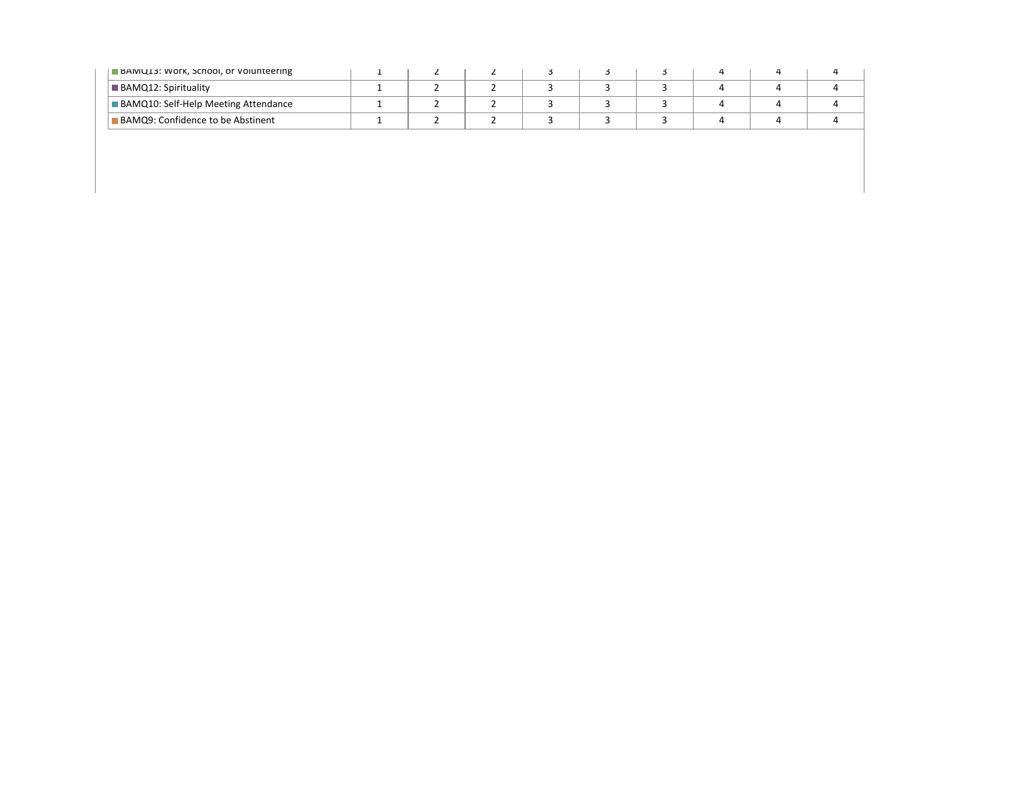| BAMQ13: Work, School, or Volunteering       |  |  |  |  |  |
|---------------------------------------------|--|--|--|--|--|
| <b>BAMQ12: Spirituality</b>                 |  |  |  |  |  |
| <b>BAMQ10: Self-Help Meeting Attendance</b> |  |  |  |  |  |
| <b>BAMQ9: Confidence to be Abstinent</b>    |  |  |  |  |  |